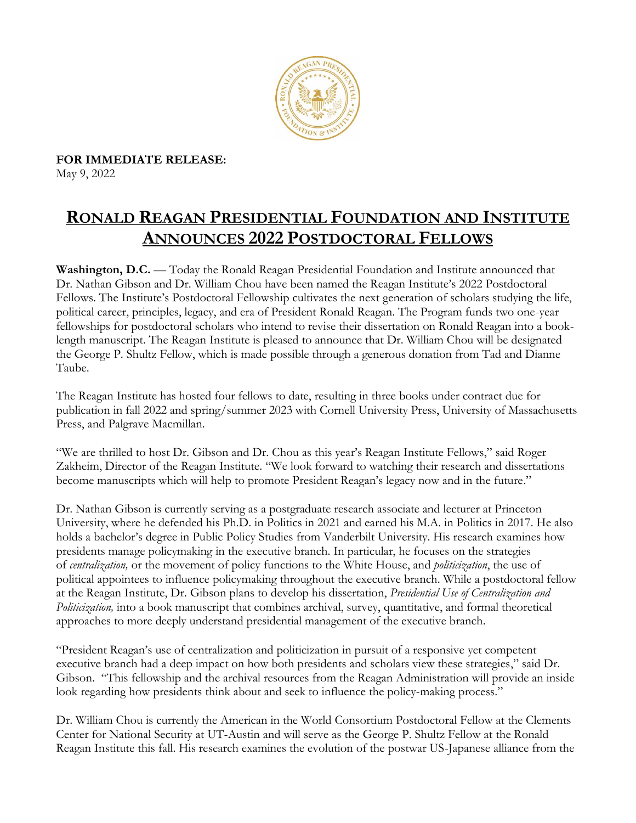

**FOR IMMEDIATE RELEASE:**  May 9, 2022

## **RONALD REAGAN PRESIDENTIAL FOUNDATION AND INSTITUTE ANNOUNCES 2022 POSTDOCTORAL FELLOWS**

**Washington, D.C.** — Today the Ronald Reagan Presidential Foundation and Institute announced that Dr. Nathan Gibson and Dr. William Chou have been named the Reagan Institute's 2022 Postdoctoral Fellows. The Institute's Postdoctoral Fellowship cultivates the next generation of scholars studying the life, political career, principles, legacy, and era of President Ronald Reagan. The Program funds two one-year fellowships for postdoctoral scholars who intend to revise their dissertation on Ronald Reagan into a booklength manuscript. The Reagan Institute is pleased to announce that Dr. William Chou will be designated the George P. Shultz Fellow, which is made possible through a generous donation from Tad and Dianne Taube.

The Reagan Institute has hosted four fellows to date, resulting in three books under contract due for publication in fall 2022 and spring/summer 2023 with Cornell University Press, University of Massachusetts Press, and Palgrave Macmillan.

"We are thrilled to host Dr. Gibson and Dr. Chou as this year's Reagan Institute Fellows," said Roger Zakheim, Director of the Reagan Institute. "We look forward to watching their research and dissertations become manuscripts which will help to promote President Reagan's legacy now and in the future."

Dr. Nathan Gibson is currently serving as a postgraduate research associate and lecturer at Princeton University, where he defended his Ph.D. in Politics in 2021 and earned his M.A. in Politics in 2017. He also holds a bachelor's degree in Public Policy Studies from Vanderbilt University. His research examines how presidents manage policymaking in the executive branch. In particular, he focuses on the strategies of *centralization,* or the movement of policy functions to the White House, and *politicization*, the use of political appointees to influence policymaking throughout the executive branch. While a postdoctoral fellow at the Reagan Institute, Dr. Gibson plans to develop his dissertation, *Presidential Use of Centralization and Politicization,* into a book manuscript that combines archival, survey, quantitative, and formal theoretical approaches to more deeply understand presidential management of the executive branch.

"President Reagan's use of centralization and politicization in pursuit of a responsive yet competent executive branch had a deep impact on how both presidents and scholars view these strategies," said Dr. Gibson. "This fellowship and the archival resources from the Reagan Administration will provide an inside look regarding how presidents think about and seek to influence the policy-making process."

Dr. William Chou is currently the American in the World Consortium Postdoctoral Fellow at the Clements Center for National Security at UT-Austin and will serve as the George P. Shultz Fellow at the Ronald Reagan Institute this fall. His research examines the evolution of the postwar US-Japanese alliance from the